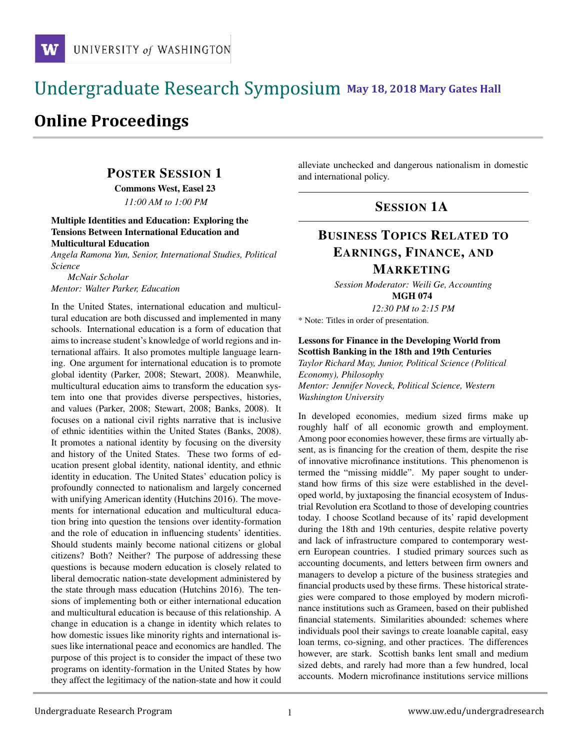# and the state of the state of the state of the state of the state of the state of the state of the state of the **M** May 18, 2018 Mary Gates Hall

# **Online Proceedings**

# POSTER SESSION 1

Commons West, Easel 23

*11:00 AM to 1:00 PM*

#### Multiple Identities and Education: Exploring the Tensions Between International Education and Multicultural Education

*Angela Ramona Yun, Senior, International Studies, Political Science*

*McNair Scholar Mentor: Walter Parker, Education*

In the United States, international education and multicultural education are both discussed and implemented in many schools. International education is a form of education that aims to increase student's knowledge of world regions and international affairs. It also promotes multiple language learning. One argument for international education is to promote global identity (Parker, 2008; Stewart, 2008). Meanwhile, multicultural education aims to transform the education system into one that provides diverse perspectives, histories, and values (Parker, 2008; Stewart, 2008; Banks, 2008). It focuses on a national civil rights narrative that is inclusive of ethnic identities within the United States (Banks, 2008). It promotes a national identity by focusing on the diversity and history of the United States. These two forms of education present global identity, national identity, and ethnic identity in education. The United States' education policy is profoundly connected to nationalism and largely concerned with unifying American identity (Hutchins 2016). The movements for international education and multicultural education bring into question the tensions over identity-formation and the role of education in influencing students' identities. Should students mainly become national citizens or global citizens? Both? Neither? The purpose of addressing these questions is because modern education is closely related to liberal democratic nation-state development administered by the state through mass education (Hutchins 2016). The tensions of implementing both or either international education and multicultural education is because of this relationship. A change in education is a change in identity which relates to how domestic issues like minority rights and international issues like international peace and economics are handled. The purpose of this project is to consider the impact of these two programs on identity-formation in the United States by how they affect the legitimacy of the nation-state and how it could alleviate unchecked and dangerous nationalism in domestic and international policy.

# SESSION 1A

# BUSINESS TOPICS RELATED TO EARNINGS, FINANCE, AND

# MARKETING

*Session Moderator: Weili Ge, Accounting* MGH 074

*12:30 PM to 2:15 PM*

\* Note: Titles in order of presentation.

### Lessons for Finance in the Developing World from Scottish Banking in the 18th and 19th Centuries

*Taylor Richard May, Junior, Political Science (Political Economy), Philosophy Mentor: Jennifer Noveck, Political Science, Western Washington University*

In developed economies, medium sized firms make up roughly half of all economic growth and employment. Among poor economies however, these firms are virtually absent, as is financing for the creation of them, despite the rise of innovative microfinance institutions. This phenomenon is termed the "missing middle". My paper sought to understand how firms of this size were established in the developed world, by juxtaposing the financial ecosystem of Industrial Revolution era Scotland to those of developing countries today. I choose Scotland because of its' rapid development during the 18th and 19th centuries, despite relative poverty and lack of infrastructure compared to contemporary western European countries. I studied primary sources such as accounting documents, and letters between firm owners and managers to develop a picture of the business strategies and financial products used by these firms. These historical strategies were compared to those employed by modern microfinance institutions such as Grameen, based on their published financial statements. Similarities abounded: schemes where individuals pool their savings to create loanable capital, easy loan terms, co-signing, and other practices. The differences however, are stark. Scottish banks lent small and medium sized debts, and rarely had more than a few hundred, local accounts. Modern microfinance institutions service millions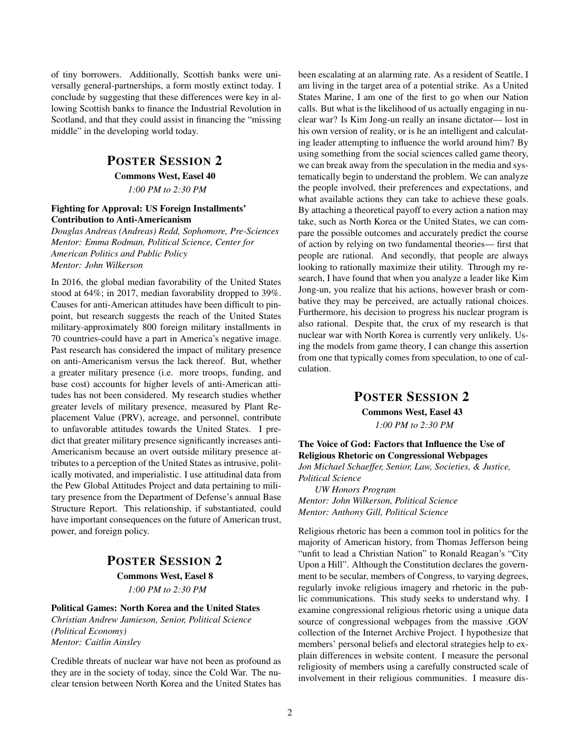of tiny borrowers. Additionally, Scottish banks were universally general-partnerships, a form mostly extinct today. I conclude by suggesting that these differences were key in allowing Scottish banks to finance the Industrial Revolution in Scotland, and that they could assist in financing the "missing middle" in the developing world today.

### POSTER SESSION 2

Commons West, Easel 40

*1:00 PM to 2:30 PM*

#### Fighting for Approval: US Foreign Installments' Contribution to Anti-Americanism

*Douglas Andreas (Andreas) Redd, Sophomore, Pre-Sciences Mentor: Emma Rodman, Political Science, Center for American Politics and Public Policy Mentor: John Wilkerson*

In 2016, the global median favorability of the United States stood at 64%; in 2017, median favorability dropped to 39%. Causes for anti-American attitudes have been difficult to pinpoint, but research suggests the reach of the United States military-approximately 800 foreign military installments in 70 countries-could have a part in America's negative image. Past research has considered the impact of military presence on anti-Americanism versus the lack thereof. But, whether a greater military presence (i.e. more troops, funding, and base cost) accounts for higher levels of anti-American attitudes has not been considered. My research studies whether greater levels of military presence, measured by Plant Replacement Value (PRV), acreage, and personnel, contribute to unfavorable attitudes towards the United States. I predict that greater military presence significantly increases anti-Americanism because an overt outside military presence attributes to a perception of the United States as intrusive, politically motivated, and imperialistic. I use attitudinal data from the Pew Global Attitudes Project and data pertaining to military presence from the Department of Defense's annual Base Structure Report. This relationship, if substantiated, could have important consequences on the future of American trust, power, and foreign policy.

# POSTER SESSION 2

Commons West, Easel 8 *1:00 PM to 2:30 PM*

#### Political Games: North Korea and the United States *Christian Andrew Jamieson, Senior, Political Science (Political Economy) Mentor: Caitlin Ainsley*

Credible threats of nuclear war have not been as profound as they are in the society of today, since the Cold War. The nuclear tension between North Korea and the United States has been escalating at an alarming rate. As a resident of Seattle, I am living in the target area of a potential strike. As a United States Marine, I am one of the first to go when our Nation calls. But what is the likelihood of us actually engaging in nuclear war? Is Kim Jong-un really an insane dictator— lost in his own version of reality, or is he an intelligent and calculating leader attempting to influence the world around him? By using something from the social sciences called game theory, we can break away from the speculation in the media and systematically begin to understand the problem. We can analyze the people involved, their preferences and expectations, and what available actions they can take to achieve these goals. By attaching a theoretical payoff to every action a nation may take, such as North Korea or the United States, we can compare the possible outcomes and accurately predict the course of action by relying on two fundamental theories— first that people are rational. And secondly, that people are always looking to rationally maximize their utility. Through my research, I have found that when you analyze a leader like Kim Jong-un, you realize that his actions, however brash or combative they may be perceived, are actually rational choices. Furthermore, his decision to progress his nuclear program is also rational. Despite that, the crux of my research is that nuclear war with North Korea is currently very unlikely. Using the models from game theory, I can change this assertion from one that typically comes from speculation, to one of calculation.

### POSTER SESSION 2

Commons West, Easel 43 *1:00 PM to 2:30 PM*

#### The Voice of God: Factors that Influence the Use of Religious Rhetoric on Congressional Webpages

*Jon Michael Schaeffer, Senior, Law, Societies, & Justice, Political Science*

*UW Honors Program Mentor: John Wilkerson, Political Science Mentor: Anthony Gill, Political Science*

Religious rhetoric has been a common tool in politics for the majority of American history, from Thomas Jefferson being "unfit to lead a Christian Nation" to Ronald Reagan's "City Upon a Hill". Although the Constitution declares the government to be secular, members of Congress, to varying degrees, regularly invoke religious imagery and rhetoric in the public communications. This study seeks to understand why. I examine congressional religious rhetoric using a unique data source of congressional webpages from the massive .GOV collection of the Internet Archive Project. I hypothesize that members' personal beliefs and electoral strategies help to explain differences in website content. I measure the personal religiosity of members using a carefully constructed scale of involvement in their religious communities. I measure dis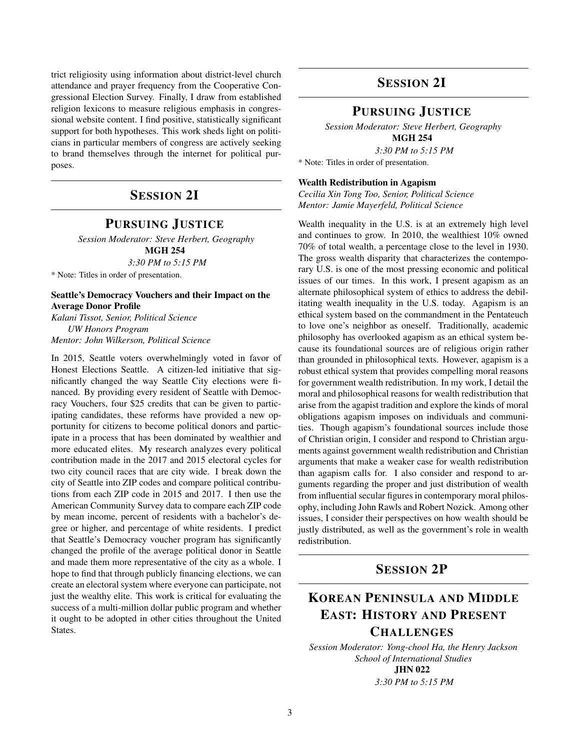trict religiosity using information about district-level church attendance and prayer frequency from the Cooperative Congressional Election Survey. Finally, I draw from established religion lexicons to measure religious emphasis in congressional website content. I find positive, statistically significant support for both hypotheses. This work sheds light on politicians in particular members of congress are actively seeking to brand themselves through the internet for political purposes.

# SESSION 2I

### PURSUING JUSTICE

*Session Moderator: Steve Herbert, Geography* MGH 254

*3:30 PM to 5:15 PM* \* Note: Titles in order of presentation.

Seattle's Democracy Vouchers and their Impact on the Average Donor Profile

*Kalani Tissot, Senior, Political Science UW Honors Program Mentor: John Wilkerson, Political Science*

In 2015, Seattle voters overwhelmingly voted in favor of Honest Elections Seattle. A citizen-led initiative that significantly changed the way Seattle City elections were financed. By providing every resident of Seattle with Democracy Vouchers, four \$25 credits that can be given to participating candidates, these reforms have provided a new opportunity for citizens to become political donors and participate in a process that has been dominated by wealthier and more educated elites. My research analyzes every political contribution made in the 2017 and 2015 electoral cycles for two city council races that are city wide. I break down the city of Seattle into ZIP codes and compare political contributions from each ZIP code in 2015 and 2017. I then use the American Community Survey data to compare each ZIP code by mean income, percent of residents with a bachelor's degree or higher, and percentage of white residents. I predict that Seattle's Democracy voucher program has significantly changed the profile of the average political donor in Seattle and made them more representative of the city as a whole. I hope to find that through publicly financing elections, we can create an electoral system where everyone can participate, not just the wealthy elite. This work is critical for evaluating the success of a multi-million dollar public program and whether it ought to be adopted in other cities throughout the United States.

# SESSION 2I

### PURSUING JUSTICE

*Session Moderator: Steve Herbert, Geography* MGH 254 *3:30 PM to 5:15 PM*

\* Note: Titles in order of presentation.

#### Wealth Redistribution in Agapism

*Cecilia Xin Tong Too, Senior, Political Science Mentor: Jamie Mayerfeld, Political Science*

Wealth inequality in the U.S. is at an extremely high level and continues to grow. In 2010, the wealthiest 10% owned 70% of total wealth, a percentage close to the level in 1930. The gross wealth disparity that characterizes the contemporary U.S. is one of the most pressing economic and political issues of our times. In this work, I present agapism as an alternate philosophical system of ethics to address the debilitating wealth inequality in the U.S. today. Agapism is an ethical system based on the commandment in the Pentateuch to love one's neighbor as oneself. Traditionally, academic philosophy has overlooked agapism as an ethical system because its foundational sources are of religious origin rather than grounded in philosophical texts. However, agapism is a robust ethical system that provides compelling moral reasons for government wealth redistribution. In my work, I detail the moral and philosophical reasons for wealth redistribution that arise from the agapist tradition and explore the kinds of moral obligations agapism imposes on individuals and communities. Though agapism's foundational sources include those of Christian origin, I consider and respond to Christian arguments against government wealth redistribution and Christian arguments that make a weaker case for wealth redistribution than agapism calls for. I also consider and respond to arguments regarding the proper and just distribution of wealth from influential secular figures in contemporary moral philosophy, including John Rawls and Robert Nozick. Among other issues, I consider their perspectives on how wealth should be justly distributed, as well as the government's role in wealth redistribution.

# SESSION 2P

# KOREAN PENINSULA AND MIDDLE EAST: HISTORY AND PRESENT **CHALLENGES**

*Session Moderator: Yong-chool Ha, the Henry Jackson School of International Studies* JHN 022

*3:30 PM to 5:15 PM*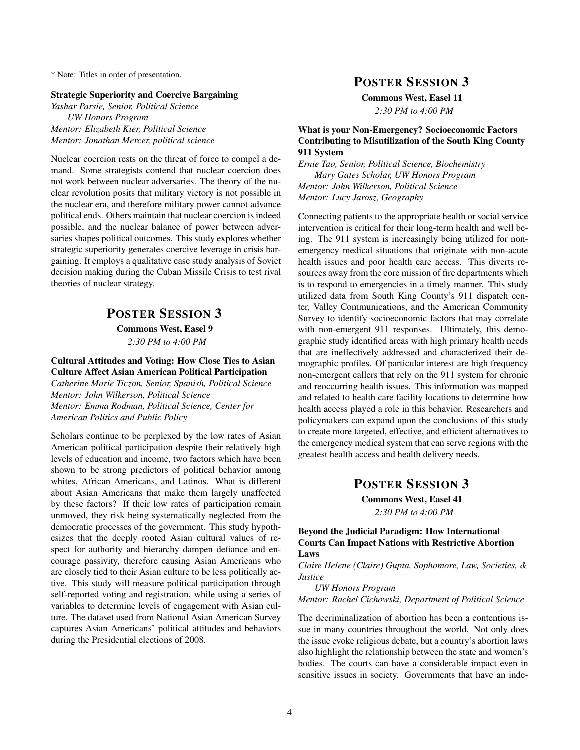\* Note: Titles in order of presentation.

#### Strategic Superiority and Coercive Bargaining

*Yashar Parsie, Senior, Political Science UW Honors Program Mentor: Elizabeth Kier, Political Science Mentor: Jonathan Mercer, political science*

Nuclear coercion rests on the threat of force to compel a demand. Some strategists contend that nuclear coercion does not work between nuclear adversaries. The theory of the nuclear revolution posits that military victory is not possible in the nuclear era, and therefore military power cannot advance political ends. Others maintain that nuclear coercion is indeed possible, and the nuclear balance of power between adversaries shapes political outcomes. This study explores whether strategic superiority generates coercive leverage in crisis bargaining. It employs a qualitative case study analysis of Soviet decision making during the Cuban Missile Crisis to test rival theories of nuclear strategy.

### POSTER SESSION 3

Commons West, Easel 9

*2:30 PM to 4:00 PM*

Cultural Attitudes and Voting: How Close Ties to Asian Culture Affect Asian American Political Participation

*Catherine Marie Ticzon, Senior, Spanish, Political Science Mentor: John Wilkerson, Political Science Mentor: Emma Rodman, Political Science, Center for American Politics and Public Policy*

Scholars continue to be perplexed by the low rates of Asian American political participation despite their relatively high levels of education and income, two factors which have been shown to be strong predictors of political behavior among whites, African Americans, and Latinos. What is different about Asian Americans that make them largely unaffected by these factors? If their low rates of participation remain unmoved, they risk being systematically neglected from the democratic processes of the government. This study hypothesizes that the deeply rooted Asian cultural values of respect for authority and hierarchy dampen defiance and encourage passivity, therefore causing Asian Americans who are closely tied to their Asian culture to be less politically active. This study will measure political participation through self-reported voting and registration, while using a series of variables to determine levels of engagement with Asian culture. The dataset used from National Asian American Survey captures Asian Americans' political attitudes and behaviors during the Presidential elections of 2008.

### POSTER SESSION 3

Commons West, Easel 11

*2:30 PM to 4:00 PM*

#### What is your Non-Emergency? Socioeconomic Factors Contributing to Misutilization of the South King County 911 System

*Ernie Tao, Senior, Political Science, Biochemistry Mary Gates Scholar, UW Honors Program Mentor: John Wilkerson, Political Science*

*Mentor: Lucy Jarosz, Geography*

Connecting patients to the appropriate health or social service intervention is critical for their long-term health and well being. The 911 system is increasingly being utilized for nonemergency medical situations that originate with non-acute health issues and poor health care access. This diverts resources away from the core mission of fire departments which is to respond to emergencies in a timely manner. This study utilized data from South King County's 911 dispatch center, Valley Communications, and the American Community Survey to identify socioeconomic factors that may correlate with non-emergent 911 responses. Ultimately, this demographic study identified areas with high primary health needs that are ineffectively addressed and characterized their demographic profiles. Of particular interest are high frequency non-emergent callers that rely on the 911 system for chronic and reoccurring health issues. This information was mapped and related to health care facility locations to determine how health access played a role in this behavior. Researchers and policymakers can expand upon the conclusions of this study to create more targeted, effective, and efficient alternatives to the emergency medical system that can serve regions with the greatest health access and health delivery needs.

# POSTER SESSION 3

Commons West, Easel 41 *2:30 PM to 4:00 PM*

#### Beyond the Judicial Paradigm: How International Courts Can Impact Nations with Restrictive Abortion Laws

*Claire Helene (Claire) Gupta, Sophomore, Law, Societies, & Justice*

*UW Honors Program*

*Mentor: Rachel Cichowski, Department of Political Science*

The decriminalization of abortion has been a contentious issue in many countries throughout the world. Not only does the issue evoke religious debate, but a country's abortion laws also highlight the relationship between the state and women's bodies. The courts can have a considerable impact even in sensitive issues in society. Governments that have an inde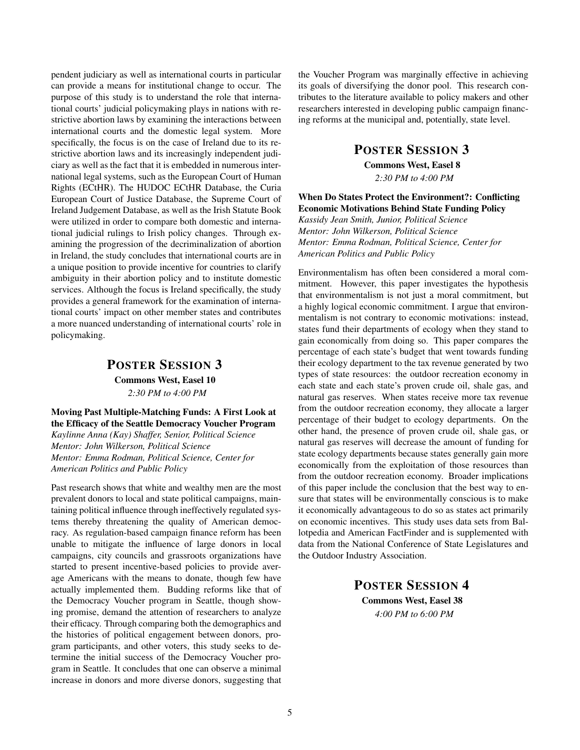pendent judiciary as well as international courts in particular can provide a means for institutional change to occur. The purpose of this study is to understand the role that international courts' judicial policymaking plays in nations with restrictive abortion laws by examining the interactions between international courts and the domestic legal system. More specifically, the focus is on the case of Ireland due to its restrictive abortion laws and its increasingly independent judiciary as well as the fact that it is embedded in numerous international legal systems, such as the European Court of Human Rights (ECtHR). The HUDOC ECtHR Database, the Curia European Court of Justice Database, the Supreme Court of Ireland Judgement Database, as well as the Irish Statute Book were utilized in order to compare both domestic and international judicial rulings to Irish policy changes. Through examining the progression of the decriminalization of abortion in Ireland, the study concludes that international courts are in a unique position to provide incentive for countries to clarify ambiguity in their abortion policy and to institute domestic services. Although the focus is Ireland specifically, the study provides a general framework for the examination of international courts' impact on other member states and contributes a more nuanced understanding of international courts' role in policymaking.

# POSTER SESSION 3 Commons West, Easel 10 *2:30 PM to 4:00 PM*

Moving Past Multiple-Matching Funds: A First Look at the Efficacy of the Seattle Democracy Voucher Program

*Kaylinne Anna (Kay) Shaffer, Senior, Political Science Mentor: John Wilkerson, Political Science Mentor: Emma Rodman, Political Science, Center for American Politics and Public Policy*

Past research shows that white and wealthy men are the most prevalent donors to local and state political campaigns, maintaining political influence through ineffectively regulated systems thereby threatening the quality of American democracy. As regulation-based campaign finance reform has been unable to mitigate the influence of large donors in local campaigns, city councils and grassroots organizations have started to present incentive-based policies to provide average Americans with the means to donate, though few have actually implemented them. Budding reforms like that of the Democracy Voucher program in Seattle, though showing promise, demand the attention of researchers to analyze their efficacy. Through comparing both the demographics and the histories of political engagement between donors, program participants, and other voters, this study seeks to determine the initial success of the Democracy Voucher program in Seattle. It concludes that one can observe a minimal increase in donors and more diverse donors, suggesting that the Voucher Program was marginally effective in achieving its goals of diversifying the donor pool. This research contributes to the literature available to policy makers and other researchers interested in developing public campaign financing reforms at the municipal and, potentially, state level.

### POSTER SESSION 3

Commons West, Easel 8 *2:30 PM to 4:00 PM*

When Do States Protect the Environment?: Conflicting Economic Motivations Behind State Funding Policy

*Kassidy Jean Smith, Junior, Political Science Mentor: John Wilkerson, Political Science Mentor: Emma Rodman, Political Science, Center for American Politics and Public Policy*

Environmentalism has often been considered a moral commitment. However, this paper investigates the hypothesis that environmentalism is not just a moral commitment, but a highly logical economic commitment. I argue that environmentalism is not contrary to economic motivations: instead, states fund their departments of ecology when they stand to gain economically from doing so. This paper compares the percentage of each state's budget that went towards funding their ecology department to the tax revenue generated by two types of state resources: the outdoor recreation economy in each state and each state's proven crude oil, shale gas, and natural gas reserves. When states receive more tax revenue from the outdoor recreation economy, they allocate a larger percentage of their budget to ecology departments. On the other hand, the presence of proven crude oil, shale gas, or natural gas reserves will decrease the amount of funding for state ecology departments because states generally gain more economically from the exploitation of those resources than from the outdoor recreation economy. Broader implications of this paper include the conclusion that the best way to ensure that states will be environmentally conscious is to make it economically advantageous to do so as states act primarily on economic incentives. This study uses data sets from Ballotpedia and American FactFinder and is supplemented with data from the National Conference of State Legislatures and the Outdoor Industry Association.

# POSTER SESSION 4

Commons West, Easel 38 *4:00 PM to 6:00 PM*